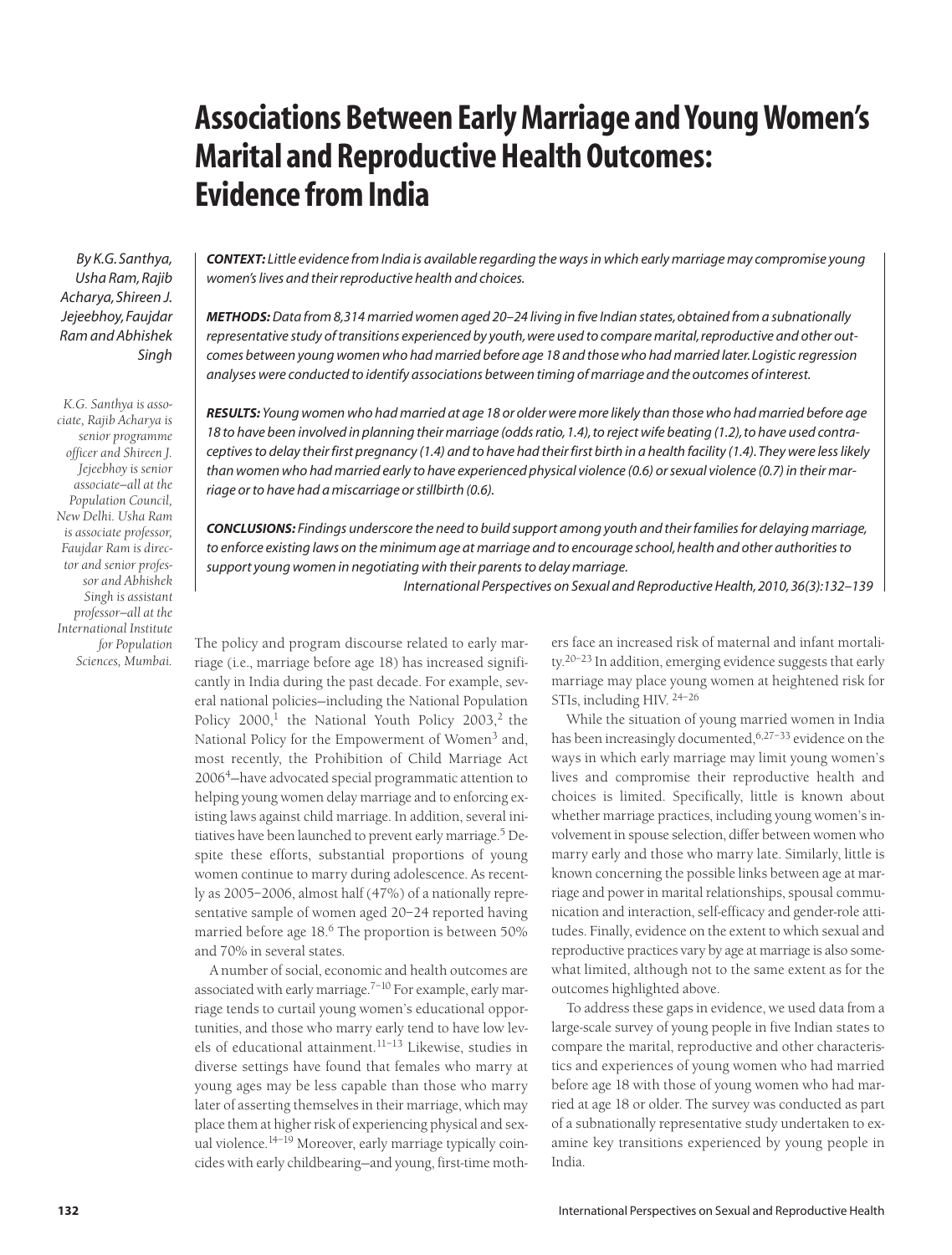# **Associations Between Early Marriage and Young Women's Marital and Reproductive Health Outcomes: Evidence from India**

*By K.G. Santhya, Usha Ram, Rajib Acharya, Shireen J. Jejeebhoy, Faujdar Ram and Abhishek Singh*

*K.G. Santhya is associate, Rajib Acharya is senior programme officer and Shireen J. Jejeebhoy is senior associate—all at the Population Council, New Delhi. Usha Ram is associate professor, Faujdar Ram is director and senior professor and Abhishek Singh is assistant professor—all at the International Institute for Population Sciences, Mumbai.*

*CONTEXT: Little evidence from India is available regarding the ways in which early marriage may compromise young women's lives and their reproductive health and choices.*

*METHODS:Data from 8,314 married women aged 20–24 living in five Indian states, obtained from a subnationally representative study of transitions experienced by youth, were used to compare marital, reproductive and other outcomes between young women who had married before age 18 and those who had married later. Logistic regression analyses were conducted to identify associations between timing of marriage and the outcomes of interest.*

*RESULTS: Young women who had married at age 18 or older were more likely than those who had married before age 18 to have been involved in planning their marriage (odds ratio, 1.4), to reject wife beating (1.2), to have used contraceptives to delay their first pregnancy (1.4) and to have had their first birth in a health facility (1.4). They were less likely than women who had married early to have experienced physical violence (0.6) or sexual violence (0.7) in their marriage or to have had a miscarriage or stillbirth (0.6).*

*CONCLUSIONS: Findings underscore the need to build support among youth and their families for delaying marriage, to enforce existing laws on the minimum age at marriage and to encourage school, health and other authorities to support young women in negotiating with their parents to delay marriage.*

*International Perspectives on Sexual and Reproductive Health, 2010, 36(3):132–139*

The policy and program discourse related to early marriage (i.e., marriage before age 18) has increased significantly in India during the past decade. For example, several national policies—including the National Population Policy  $2000$ ,<sup>1</sup> the National Youth Policy  $2003$ ,<sup>2</sup> the National Policy for the Empowerment of Women<sup>3</sup> and, most recently, the Prohibition of Child Marriage Act 20064—have advocated special programmatic attention to helping young women delay marriage and to enforcing existing laws against child marriage. In addition, several initiatives have been launched to prevent early marriage.<sup>5</sup> Despite these efforts, substantial proportions of young women continue to marry during adolescence. As recently as 2005–2006, almost half (47%) of a nationally representative sample of women aged 20–24 reported having married before age 18.<sup>6</sup> The proportion is between 50% and 70% in several states.

A number of social, economic and health outcomes are associated with early marriage. $7-10$  For example, early marriage tends to curtail young women's educational opportunities, and those who marry early tend to have low levels of educational attainment.11–13 Likewise, studies in diverse settings have found that females who marry at young ages may be less capable than those who marry later of asserting themselves in their marriage, which may place them at higher risk of experiencing physical and sexual violence.<sup>14–19</sup> Moreover, early marriage typically coincides with early childbearing—and young, first-time moth-

ers face an increased risk of maternal and infant mortality.<sup>20-23</sup> In addition, emerging evidence suggests that early marriage may place young women at heightened risk for STIs, including HIV. 24–26

While the situation of young married women in India has been increasingly documented,  $6,27-33$  evidence on the ways in which early marriage may limit young women's lives and compromise their reproductive health and choices is limited. Specifically, little is known about whether marriage practices, including young women's involvement in spouse selection, differ between women who marry early and those who marry late. Similarly, little is known concerning the possible links between age at marriage and power in marital relationships, spousal communication and interaction, self-efficacy and gender-role attitudes. Finally, evidence on the extent to which sexual and reproductive practices vary by age at marriage is also somewhat limited, although not to the same extent as for the outcomes highlighted above.

To address these gaps in evidence, we used data from a large-scale survey of young people in five Indian states to compare the marital, reproductive and other characteristics and experiences of young women who had married before age 18 with those of young women who had married at age 18 or older. The survey was conducted as part of a subnationally representative study undertaken to examine key transitions experienced by young people in India.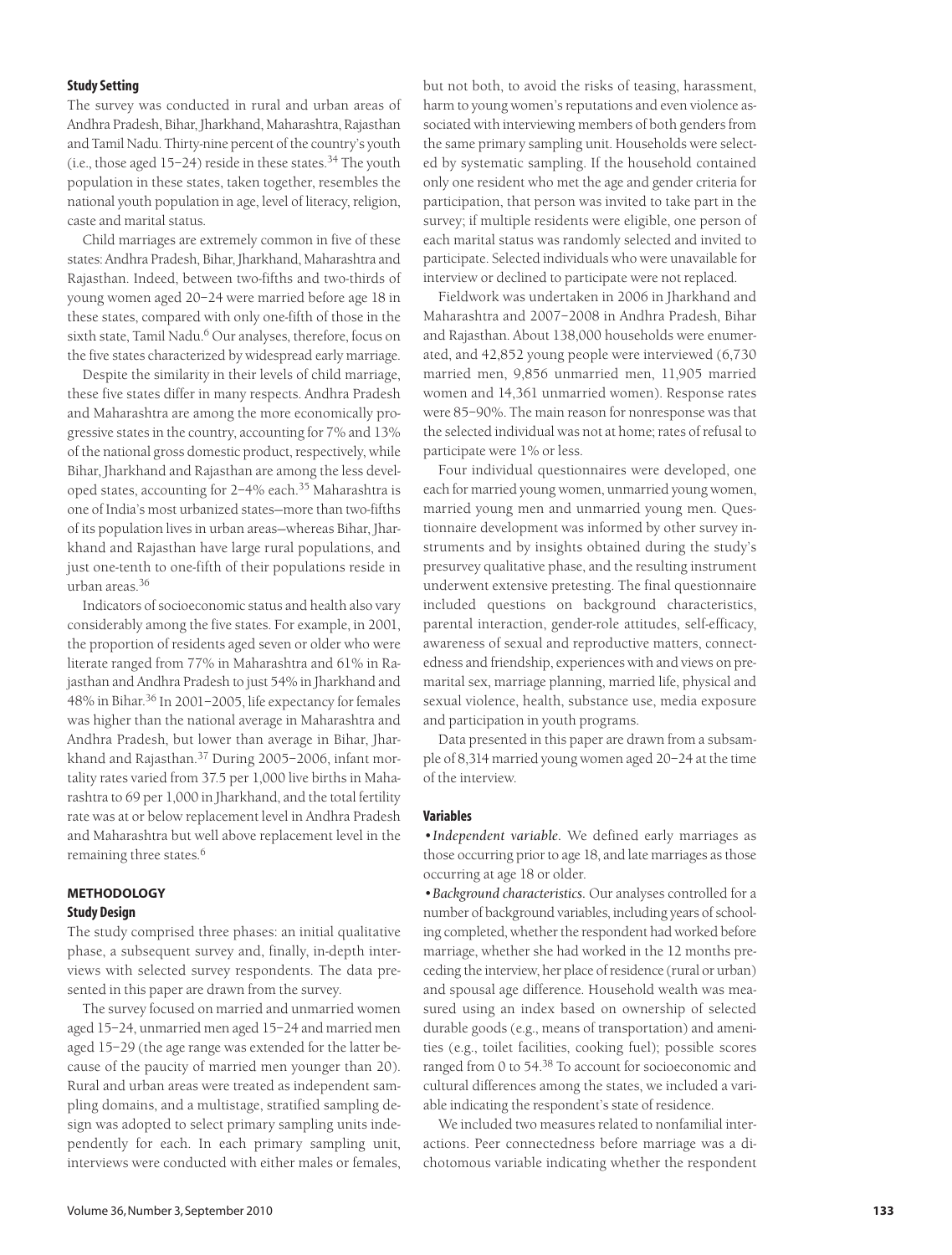# **Study Setting**

The survey was conducted in rural and urban areas of Andhra Pradesh, Bihar, Jharkhand, Maharashtra, Rajasthan and Tamil Nadu. Thirty-nine percent of the country's youth (i.e., those aged  $15-24$ ) reside in these states.<sup>34</sup> The youth population in these states, taken together, resembles the national youth population in age, level of literacy, religion, caste and marital status.

Child marriages are extremely common in five of these states: Andhra Pradesh, Bihar, Jharkhand, Maharashtra and Rajasthan. Indeed, between two-fifths and two-thirds of young women aged 20–24 were married before age 18 in these states, compared with only one-fifth of those in the sixth state, Tamil Nadu.<sup>6</sup> Our analyses, therefore, focus on the five states characterized by widespread early marriage.

Despite the similarity in their levels of child marriage, these five states differ in many respects. Andhra Pradesh and Maharashtra are among the more economically progressive states in the country, accounting for 7% and 13% of the national gross domestic product, respectively, while Bihar, Jharkhand and Rajasthan are among the less developed states, accounting for 2–4% each.<sup>35</sup> Maharashtra is one of India's most urbanized states—more than two-fifths of its population lives in urban areas—whereas Bihar, Jharkhand and Rajasthan have large rural populations, and just one-tenth to one-fifth of their populations reside in urban areas.36

Indicators of socioeconomic status and health also vary considerably among the five states. For example, in 2001, the proportion of residents aged seven or older who were literate ranged from 77% in Maharashtra and 61% in Rajasthan and Andhra Pradesh to just 54% in Jharkhand and 48% in Bihar.36 In 2001–2005, life expectancy for females was higher than the national average in Maharashtra and Andhra Pradesh, but lower than average in Bihar, Jharkhand and Rajasthan.<sup>37</sup> During 2005–2006, infant mortality rates varied from 37.5 per 1,000 live births in Maharashtra to 69 per 1,000 in Jharkhand, and the total fertility rate was at or below replacement level in Andhra Pradesh and Maharashtra but well above replacement level in the remaining three states.<sup>6</sup>

# **METHODOLOGY Study Design**

The study comprised three phases: an initial qualitative phase, a subsequent survey and, finally, in-depth interviews with selected survey respondents. The data presented in this paper are drawn from the survey.

The survey focused on married and unmarried women aged 15–24, unmarried men aged 15–24 and married men aged 15–29 (the age range was extended for the latter because of the paucity of married men younger than 20). Rural and urban areas were treated as independent sampling domains, and a multistage, stratified sampling design was adopted to select primary sampling units independently for each. In each primary sampling unit, interviews were conducted with either males or females, but not both, to avoid the risks of teasing, harassment, harm to young women's reputations and even violence associated with interviewing members of both genders from the same primary sampling unit. Households were selected by systematic sampling. If the household contained only one resident who met the age and gender criteria for participation, that person was invited to take part in the survey; if multiple residents were eligible, one person of each marital status was randomly selected and invited to participate. Selected individuals who were unavailable for interview or declined to participate were not replaced.

Fieldwork was undertaken in 2006 in Jharkhand and Maharashtra and 2007–2008 in Andhra Pradesh, Bihar and Rajasthan. About 138,000 households were enumerated, and 42,852 young people were interviewed (6,730 married men, 9,856 unmarried men, 11,905 married women and 14,361 unmarried women). Response rates were 85–90%. The main reason for nonresponse was that the selected individual was not at home; rates of refusal to participate were 1% or less.

Four individual questionnaires were developed, one each for married young women, unmarried young women, married young men and unmarried young men. Questionnaire development was informed by other survey instruments and by insights obtained during the study's presurvey qualitative phase, and the resulting instrument underwent extensive pretesting. The final questionnaire included questions on background characteristics, parental interaction, gender-role attitudes, self-efficacy, awareness of sexual and reproductive matters, connectedness and friendship, experiences with and views on premarital sex, marriage planning, married life, physical and sexual violence, health, substance use, media exposure and participation in youth programs.

Data presented in this paper are drawn from a subsample of 8,314 married young women aged 20–24 at the time of the interview.

## **Variables**

*•Independent variable.* We defined early marriages as those occurring prior to age 18, and late marriages as those occurring at age 18 or older.

*•Background characteristics.* Our analyses controlled for a number of background variables, including years of schooling completed, whether the respondent had worked before marriage, whether she had worked in the 12 months preceding the interview, her place of residence (rural or urban) and spousal age difference. Household wealth was measured using an index based on ownership of selected durable goods (e.g., means of transportation) and amenities (e.g., toilet facilities, cooking fuel); possible scores ranged from 0 to 54.38 To account for socioeconomic and cultural differences among the states, we included a variable indicating the respondent's state of residence.

We included two measures related to nonfamilial interactions. Peer connectedness before marriage was a dichotomous variable indicating whether the respondent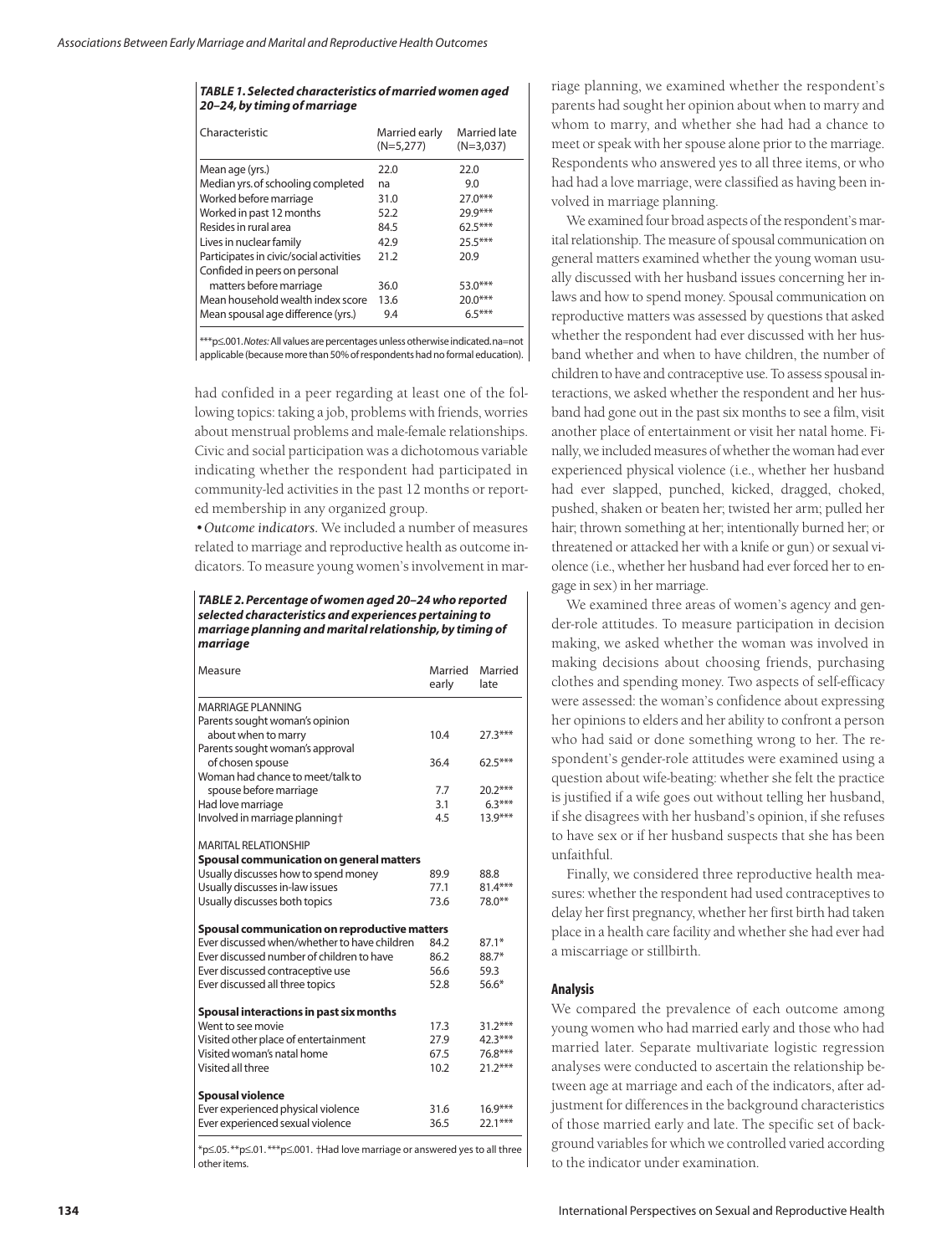### *TABLE 1. Selected characteristics of married women aged 20–24, by timing of marriage*

| Characteristic                          | Married early<br>$(N=5.277)$ | Married late<br>$(N=3.037)$ |
|-----------------------------------------|------------------------------|-----------------------------|
| Mean age (yrs.)                         | 22.0                         | 22.0                        |
| Median yrs. of schooling completed      | na                           | 9.0                         |
| Worked before marriage                  | 31.0                         | $27.0***$                   |
| Worked in past 12 months                | 52.2                         | $79.9***$                   |
| Resides in rural area                   | 84.5                         | $62.5***$                   |
| Lives in nuclear family                 | 42.9                         | $25.5***$                   |
| Participates in civic/social activities | 21.2                         | 20.9                        |
| Confided in peers on personal           |                              |                             |
| matters before marriage                 | 36.0                         | 53.0***                     |
| Mean household wealth index score       | 13.6                         | $20.0***$                   |
| Mean spousal age difference (yrs.)      | 9.4                          | $6.5***$                    |

\*\*\*p≤.001.*Notes:*All values are percentages unless otherwise indicated.na=not applicable (because more than 50% of respondents had no formal education).

had confided in a peer regarding at least one of the following topics: taking a job, problems with friends, worries about menstrual problems and male-female relationships. Civic and social participation was a dichotomous variable indicating whether the respondent had participated in community-led activities in the past 12 months or reported membership in any organized group.

*•Outcome indicators.* We included a number of measures related to marriage and reproductive health as outcome indicators. To measure young women's involvement in mar-

*TABLE 2. Percentage of women aged 20–24 who reported selected characteristics and experiences pertaining to marriage planning and marital relationship, by timing of marriage*

| Measure                                                                                       | Married<br>early | Married<br>late |
|-----------------------------------------------------------------------------------------------|------------------|-----------------|
| MARRIAGE PI ANNING                                                                            |                  |                 |
| Parents sought woman's opinion                                                                |                  |                 |
| about when to marry                                                                           | 10.4             | $27.3***$       |
| Parents sought woman's approval                                                               |                  |                 |
| of chosen spouse                                                                              | 36.4             | $62.5***$       |
| Woman had chance to meet/talk to                                                              |                  |                 |
| spouse before marriage                                                                        | 7.7              | $20.2***$       |
| Had love marriage                                                                             | 3.1              | $6.3***$        |
| Involved in marriage planning†                                                                | 4.5              | $13.9***$       |
| <b>MARITAL RELATIONSHIP</b>                                                                   |                  |                 |
| Spousal communication on general matters                                                      |                  |                 |
| Usually discusses how to spend money                                                          | 89.9             | 88.8            |
| Usually discusses in-law issues                                                               | 77.1             | 81.4***         |
| Usually discusses both topics                                                                 | 73.6             | 78.0**          |
| Spousal communication on reproductive matters                                                 |                  |                 |
| Ever discussed when/whether to have children                                                  | 84.2             | $87.1*$         |
| Ever discussed number of children to have                                                     | 86.2             | $88.7*$         |
| Ever discussed contraceptive use                                                              | 56.6             | 59.3            |
| Ever discussed all three topics                                                               | 52.8             | 56.6*           |
| Spousal interactions in past six months                                                       |                  |                 |
| Went to see movie                                                                             | 17.3             | $31.2***$       |
| Visited other place of entertainment                                                          | 27.9             | 42.3***         |
| Visited woman's natal home                                                                    | 67.5             | 76.8***         |
| Visited all three                                                                             | 10.2             | $21.2***$       |
| <b>Spousal violence</b>                                                                       |                  |                 |
| Ever experienced physical violence                                                            | 31.6             | $16.9***$       |
| Ever experienced sexual violence                                                              | 36.5             | $22.1***$       |
| $* \sim 05$ $* \sim 01$ $* \times \sim 001$ alled love marriage as anoughout use to all three |                  |                 |

\*p≤.05. \*\*p≤.01. \*\*\*p≤.001. †Had love marriage or answered yes to all three other items.

riage planning, we examined whether the respondent's parents had sought her opinion about when to marry and whom to marry, and whether she had had a chance to meet or speak with her spouse alone prior to the marriage. Respondents who answered yes to all three items, or who had had a love marriage, were classified as having been involved in marriage planning.

We examined four broad aspects of the respondent's marital relationship. The measure of spousal communication on general matters examined whether the young woman usually discussed with her husband issues concerning her inlaws and how to spend money. Spousal communication on reproductive matters was assessed by questions that asked whether the respondent had ever discussed with her husband whether and when to have children, the number of children to have and contraceptive use. To assess spousal interactions, we asked whether the respondent and her husband had gone out in the past six months to see a film, visit another place of entertainment or visit her natal home. Finally, we included measures of whether the woman had ever experienced physical violence (i.e., whether her husband had ever slapped, punched, kicked, dragged, choked, pushed, shaken or beaten her; twisted her arm; pulled her hair; thrown something at her; intentionally burned her; or threatened or attacked her with a knife or gun) or sexual violence (i.e., whether her husband had ever forced her to engage in sex) in her marriage.

We examined three areas of women's agency and gender-role attitudes. To measure participation in decision making, we asked whether the woman was involved in making decisions about choosing friends, purchasing clothes and spending money. Two aspects of self-efficacy were assessed: the woman's confidence about expressing her opinions to elders and her ability to confront a person who had said or done something wrong to her. The respondent's gender-role attitudes were examined using a question about wife-beating: whether she felt the practice is justified if a wife goes out without telling her husband, if she disagrees with her husband's opinion, if she refuses to have sex or if her husband suspects that she has been unfaithful.

Finally, we considered three reproductive health measures: whether the respondent had used contraceptives to delay her first pregnancy, whether her first birth had taken place in a health care facility and whether she had ever had a miscarriage or stillbirth.

## **Analysis**

We compared the prevalence of each outcome among young women who had married early and those who had married later. Separate multivariate logistic regression analyses were conducted to ascertain the relationship between age at marriage and each of the indicators, after adjustment for differences in the background characteristics of those married early and late. The specific set of background variables for which we controlled varied according to the indicator under examination.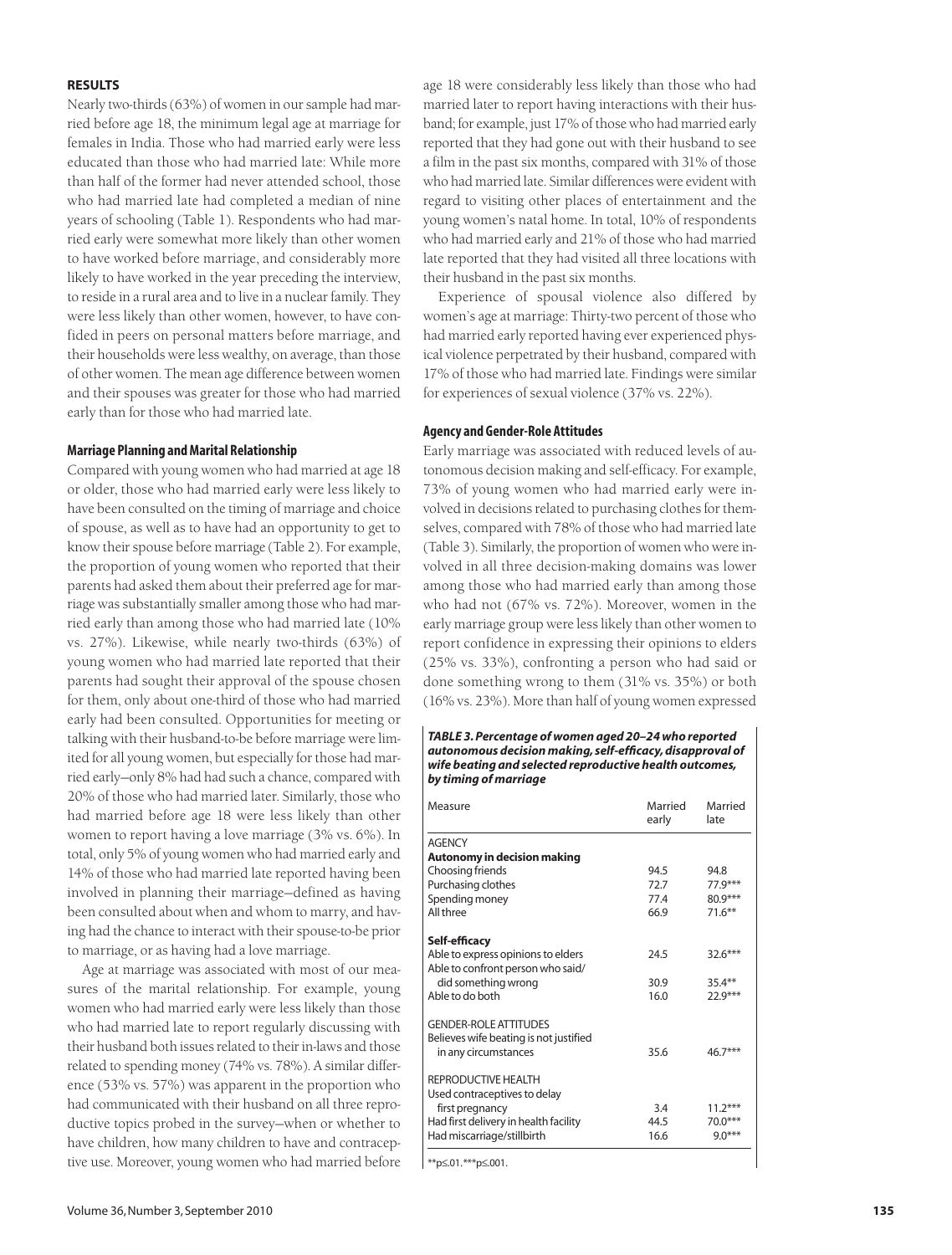## **RESULTS**

Nearly two-thirds (63%) of women in our sample had married before age 18, the minimum legal age at marriage for females in India. Those who had married early were less educated than those who had married late: While more than half of the former had never attended school, those who had married late had completed a median of nine years of schooling (Table 1). Respondents who had married early were somewhat more likely than other women to have worked before marriage, and considerably more likely to have worked in the year preceding the interview, to reside in a rural area and to live in a nuclear family. They were less likely than other women, however, to have confided in peers on personal matters before marriage, and their households were less wealthy, on average, than those of other women. The mean age difference between women and their spouses was greater for those who had married early than for those who had married late.

# **Marriage Planning and Marital Relationship**

Compared with young women who had married at age 18 or older, those who had married early were less likely to have been consulted on the timing of marriage and choice of spouse, as well as to have had an opportunity to get to know their spouse before marriage (Table 2). For example, the proportion of young women who reported that their parents had asked them about their preferred age for marriage was substantially smaller among those who had married early than among those who had married late (10% vs. 27%). Likewise, while nearly two-thirds (63%) of young women who had married late reported that their parents had sought their approval of the spouse chosen for them, only about one-third of those who had married early had been consulted. Opportunities for meeting or talking with their husband-to-be before marriage were limited for all young women, but especially for those had married early—only 8% had had such a chance, compared with 20% of those who had married later. Similarly, those who had married before age 18 were less likely than other women to report having a love marriage (3% vs. 6%). In total, only 5% of young women who had married early and 14% of those who had married late reported having been involved in planning their marriage—defined as having been consulted about when and whom to marry, and having had the chance to interact with their spouse-to-be prior to marriage, or as having had a love marriage.

Age at marriage was associated with most of our measures of the marital relationship. For example, young women who had married early were less likely than those who had married late to report regularly discussing with their husband both issues related to their in-laws and those related to spending money (74% vs. 78%). A similar difference (53% vs. 57%) was apparent in the proportion who had communicated with their husband on all three reproductive topics probed in the survey—when or whether to have children, how many children to have and contraceptive use. Moreover, young women who had married before age 18 were considerably less likely than those who had married later to report having interactions with their husband; for example, just 17% of those who had married early reported that they had gone out with their husband to see a film in the past six months, compared with 31% of those who had married late. Similar differences were evident with regard to visiting other places of entertainment and the young women's natal home. In total, 10% of respondents who had married early and 21% of those who had married late reported that they had visited all three locations with their husband in the past six months.

Experience of spousal violence also differed by women's age at marriage: Thirty-two percent of those who had married early reported having ever experienced physical violence perpetrated by their husband, compared with 17% of those who had married late. Findings were similar for experiences of sexual violence (37% vs. 22%).

# **Agency and Gender-Role Attitudes**

Early marriage was associated with reduced levels of autonomous decision making and self-efficacy. For example, 73% of young women who had married early were involved in decisions related to purchasing clothes for themselves, compared with 78% of those who had married late (Table 3). Similarly, the proportion of women who were involved in all three decision-making domains was lower among those who had married early than among those who had not (67% vs. 72%). Moreover, women in the early marriage group were less likely than other women to report confidence in expressing their opinions to elders (25% vs. 33%), confronting a person who had said or done something wrong to them (31% vs. 35%) or both (16% vs. 23%). More than half of young women expressed

#### *TABLE 3. Percentage of women aged 20–24 who reported autonomous decision making, self-efficacy, disapproval of wife beating and selected reproductive health outcomes, by timing of marriage*

| Measure                                                                                        | Married<br>early | Married<br>late |
|------------------------------------------------------------------------------------------------|------------------|-----------------|
| <b>AGFNCY</b>                                                                                  |                  |                 |
| Autonomy in decision making                                                                    |                  |                 |
| Choosing friends                                                                               | 94.5             | 94.8            |
| Purchasing clothes                                                                             | 72.7             | $77.9***$       |
| Spending money                                                                                 | 77.4             | $80.9***$       |
| All three                                                                                      | 66.9             | $71.6***$       |
| Self-efficacy                                                                                  |                  |                 |
| Able to express opinions to elders<br>Able to confront person who said/                        | 24.5             | $32.6***$       |
| did something wrong                                                                            | 30.9             | $35.4***$       |
| Able to do both                                                                                | 16.0             | $22.9***$       |
| <b>GENDER-ROLE ATTITUDES</b><br>Believes wife beating is not justified<br>in any circumstances | 35.6             | $46.7***$       |
| REPRODUCTIVE HEALTH<br>Used contraceptives to delay                                            |                  |                 |
| first pregnancy                                                                                | 3.4              | $11.2***$       |
| Had first delivery in health facility                                                          | 44.5             | $70.0***$       |
| Had miscarriage/stillbirth                                                                     | 16.6             | $9.0***$        |
|                                                                                                |                  |                 |

\*\*p≤.01.\*\*\*p≤.001.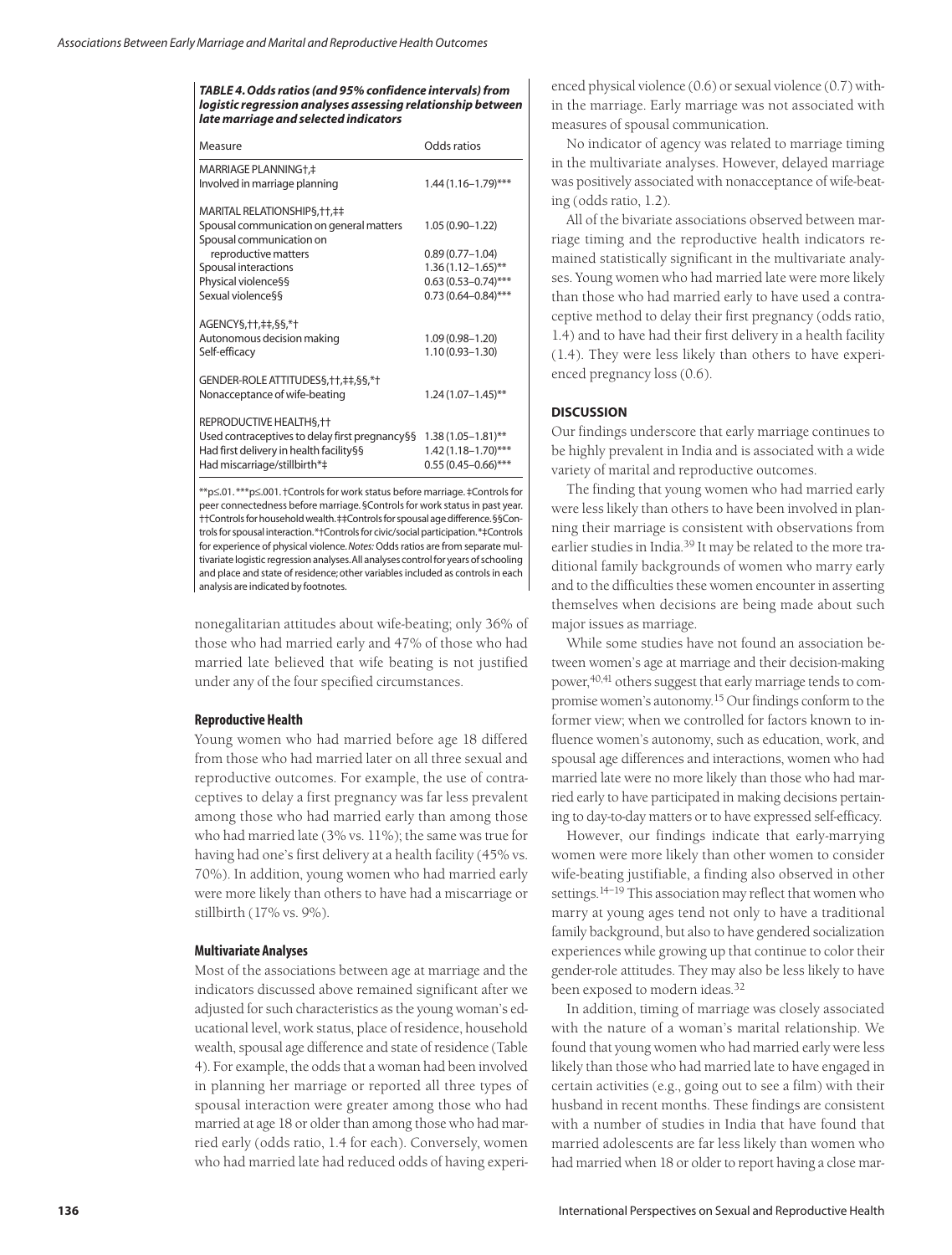*TABLE 4. Odds ratios (and 95% confidence intervals) from logistic regression analyses assessing relationship between late marriage and selected indicators*

| Measure                                                                       | Odds ratios             |
|-------------------------------------------------------------------------------|-------------------------|
| MARRIAGE PLANNING+.‡                                                          |                         |
| Involved in marriage planning                                                 | $1.44(1.16 - 1.79)$ *** |
| MARITAL RELATIONSHIPS, ++, ++                                                 |                         |
| Spousal communication on general matters                                      | $1.05(0.90 - 1.22)$     |
| Spousal communication on                                                      |                         |
| reproductive matters                                                          | $0.89(0.77 - 1.04)$     |
| Spousal interactions                                                          | $1.36(1.12 - 1.65)$ **  |
| Physical violence§§                                                           | $0.63(0.53 - 0.74)$ *** |
| Sexual violence§§                                                             | $0.73(0.64 - 0.84)$ *** |
| AGENCYS, ++, ++, \$\$,*+<br>Autonomous decision making                        | $1.09(0.98 - 1.20)$     |
| Self-efficacy                                                                 | $1.10(0.93 - 1.30)$     |
| GENDER-ROLE ATTITUDESS, + +, + +, \$ \$, * +<br>Nonacceptance of wife-beating | $1.24(1.07 - 1.45)$ **  |
|                                                                               |                         |
| REPRODUCTIVE HEALTHS, ++                                                      |                         |
| Used contraceptives to delay first pregnancy§§                                | $1.38(1.05 - 1.81)$ **  |
| Had first delivery in health facility§§                                       | $1.42(1.18 - 1.70)$ *** |
| Had miscarriage/stillbirth*‡                                                  | $0.55(0.45 - 0.66)$ *** |
|                                                                               |                         |

\*\*p≤.01. \*\*\*p≤.001. †Controls for work status before marriage. ‡Controls for peer connectedness before marriage. §Controls for work status in past year. ††Controls for household wealth.‡‡Controls for spousal age difference.§§Controls for spousal interaction.\*†Controls for civic/social participation.\*‡Controls for experience of physical violence.*Notes:* Odds ratios are from separate multivariate logistic regression analyses.All analyses control for years of schooling and place and state of residence; other variables included as controls in each analysis are indicated by footnotes.

nonegalitarian attitudes about wife-beating; only 36% of those who had married early and 47% of those who had married late believed that wife beating is not justified under any of the four specified circumstances.

## **Reproductive Health**

Young women who had married before age 18 differed from those who had married later on all three sexual and reproductive outcomes. For example, the use of contraceptives to delay a first pregnancy was far less prevalent among those who had married early than among those who had married late (3% vs. 11%); the same was true for having had one's first delivery at a health facility (45% vs. 70%). In addition, young women who had married early were more likely than others to have had a miscarriage or stillbirth (17% vs. 9%).

# **Multivariate Analyses**

Most of the associations between age at marriage and the indicators discussed above remained significant after we adjusted for such characteristics as the young woman's educational level, work status, place of residence, household wealth, spousal age difference and state of residence (Table 4). For example, the odds that a woman had been involved in planning her marriage or reported all three types of spousal interaction were greater among those who had married at age 18 or older than among those who had married early (odds ratio, 1.4 for each). Conversely, women who had married late had reduced odds of having experi-

enced physical violence (0.6) or sexual violence (0.7) within the marriage. Early marriage was not associated with measures of spousal communication.

No indicator of agency was related to marriage timing in the multivariate analyses. However, delayed marriage was positively associated with nonacceptance of wife-beating (odds ratio, 1.2).

All of the bivariate associations observed between marriage timing and the reproductive health indicators remained statistically significant in the multivariate analyses. Young women who had married late were more likely than those who had married early to have used a contraceptive method to delay their first pregnancy (odds ratio, 1.4) and to have had their first delivery in a health facility (1.4). They were less likely than others to have experienced pregnancy loss (0.6).

## **DISCUSSION**

Our findings underscore that early marriage continues to be highly prevalent in India and is associated with a wide variety of marital and reproductive outcomes.

The finding that young women who had married early were less likely than others to have been involved in planning their marriage is consistent with observations from earlier studies in India.<sup>39</sup> It may be related to the more traditional family backgrounds of women who marry early and to the difficulties these women encounter in asserting themselves when decisions are being made about such major issues as marriage.

While some studies have not found an association between women's age at marriage and their decision-making power,<sup>40,41</sup> others suggest that early marriage tends to compromise women's autonomy.15 Our findings conform to the former view; when we controlled for factors known to influence women's autonomy, such as education, work, and spousal age differences and interactions, women who had married late were no more likely than those who had married early to have participated in making decisions pertaining to day-to-day matters or to have expressed self-efficacy.

However, our findings indicate that early-marrying women were more likely than other women to consider wife-beating justifiable, a finding also observed in other settings.<sup>14–19</sup> This association may reflect that women who marry at young ages tend not only to have a traditional family background, but also to have gendered socialization experiences while growing up that continue to color their gender-role attitudes. They may also be less likely to have been exposed to modern ideas.<sup>32</sup>

In addition, timing of marriage was closely associated with the nature of a woman's marital relationship. We found that young women who had married early were less likely than those who had married late to have engaged in certain activities (e.g., going out to see a film) with their husband in recent months. These findings are consistent with a number of studies in India that have found that married adolescents are far less likely than women who had married when 18 or older to report having a close mar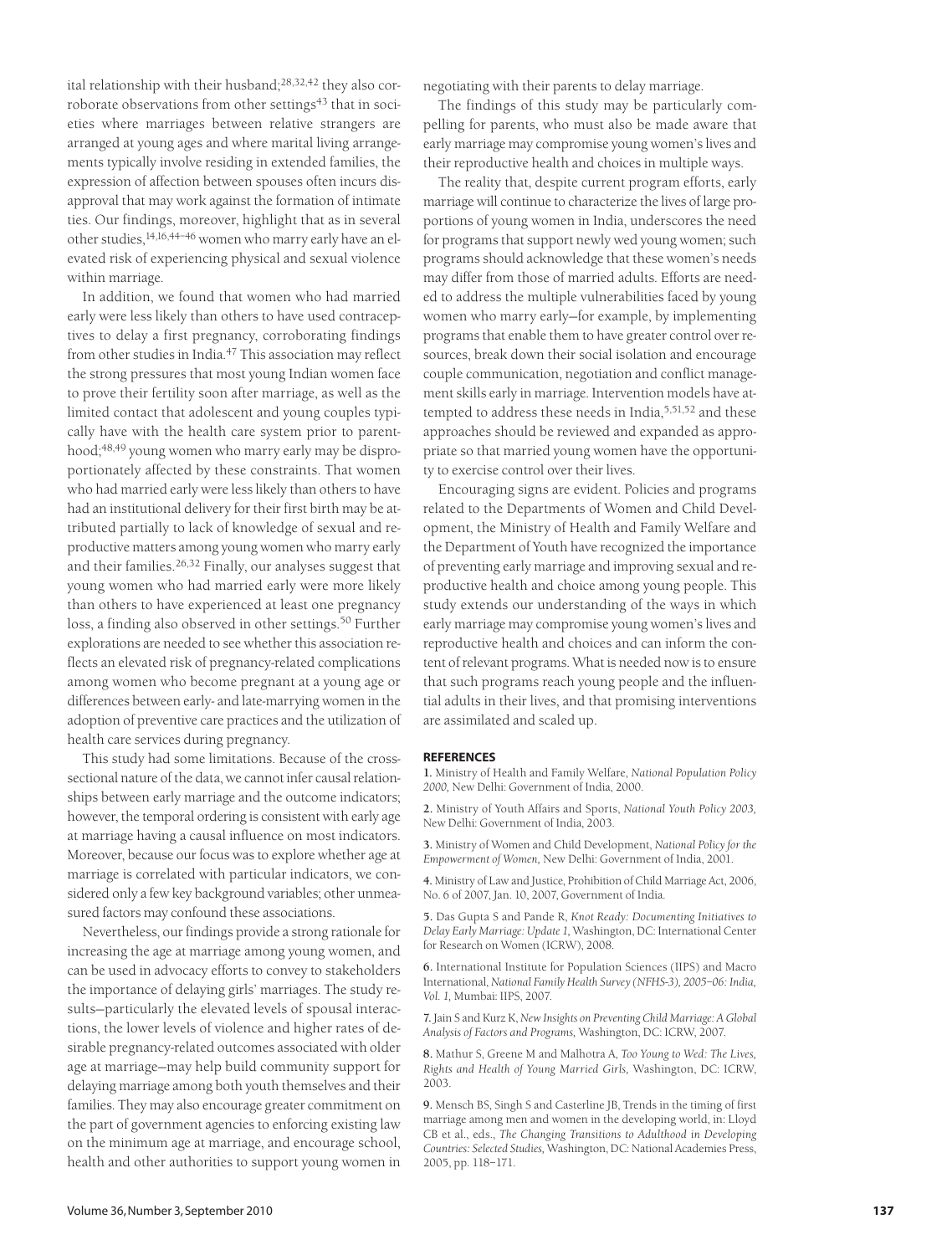ital relationship with their husband;<sup>28,32,42</sup> they also corroborate observations from other settings<sup>43</sup> that in societies where marriages between relative strangers are arranged at young ages and where marital living arrangements typically involve residing in extended families, the expression of affection between spouses often incurs disapproval that may work against the formation of intimate ties. Our findings, moreover, highlight that as in several other studies,14,16,44–46 women who marry early have an elevated risk of experiencing physical and sexual violence within marriage.

In addition, we found that women who had married early were less likely than others to have used contraceptives to delay a first pregnancy, corroborating findings from other studies in India.47 This association may reflect the strong pressures that most young Indian women face to prove their fertility soon after marriage, as well as the limited contact that adolescent and young couples typically have with the health care system prior to parenthood;<sup>48,49</sup> young women who marry early may be disproportionately affected by these constraints. That women who had married early were less likely than others to have had an institutional delivery for their first birth may be attributed partially to lack of knowledge of sexual and reproductive matters among young women who marry early and their families.26,32 Finally, our analyses suggest that young women who had married early were more likely than others to have experienced at least one pregnancy loss, a finding also observed in other settings.<sup>50</sup> Further explorations are needed to see whether this association reflects an elevated risk of pregnancy-related complications among women who become pregnant at a young age or differences between early- and late-marrying women in the adoption of preventive care practices and the utilization of health care services during pregnancy.

This study had some limitations. Because of the crosssectional nature of the data, we cannot infer causal relationships between early marriage and the outcome indicators; however, the temporal ordering is consistent with early age at marriage having a causal influence on most indicators. Moreover, because our focus was to explore whether age at marriage is correlated with particular indicators, we considered only a few key background variables; other unmeasured factors may confound these associations.

Nevertheless, our findings provide a strong rationale for increasing the age at marriage among young women, and can be used in advocacy efforts to convey to stakeholders the importance of delaying girls' marriages. The study results—particularly the elevated levels of spousal interactions, the lower levels of violence and higher rates of desirable pregnancy-related outcomes associated with older age at marriage—may help build community support for delaying marriage among both youth themselves and their families. They may also encourage greater commitment on the part of government agencies to enforcing existing law on the minimum age at marriage, and encourage school, health and other authorities to support young women in

negotiating with their parents to delay marriage.

The findings of this study may be particularly compelling for parents, who must also be made aware that early marriage may compromise young women's lives and their reproductive health and choices in multiple ways.

The reality that, despite current program efforts, early marriage will continue to characterize the lives of large proportions of young women in India, underscores the need for programs that support newly wed young women; such programs should acknowledge that these women's needs may differ from those of married adults. Efforts are needed to address the multiple vulnerabilities faced by young women who marry early—for example, by implementing programs that enable them to have greater control over resources, break down their social isolation and encourage couple communication, negotiation and conflict management skills early in marriage. Intervention models have attempted to address these needs in India,<sup>5,51,52</sup> and these approaches should be reviewed and expanded as appropriate so that married young women have the opportunity to exercise control over their lives.

Encouraging signs are evident. Policies and programs related to the Departments of Women and Child Development, the Ministry of Health and Family Welfare and the Department of Youth have recognized the importance of preventing early marriage and improving sexual and reproductive health and choice among young people. This study extends our understanding of the ways in which early marriage may compromise young women's lives and reproductive health and choices and can inform the content of relevant programs. What is needed now is to ensure that such programs reach young people and the influential adults in their lives, and that promising interventions are assimilated and scaled up.

#### **REFERENCES**

**1.** Ministry of Health and Family Welfare, *National Population Policy 2000,* New Delhi: Government of India, 2000.

**2.** Ministry of Youth Affairs and Sports, *National Youth Policy 2003,* New Delhi: Government of India, 2003.

**3.** Ministry of Women and Child Development, *National Policy for the Empowerment of Women,* New Delhi: Government of India, 2001.

**4.** Ministry of Law and Justice, Prohibition of Child Marriage Act, 2006, No. 6 of 2007, Jan. 10, 2007, Government of India.

**5.** Das Gupta S and Pande R, *Knot Ready: Documenting Initiatives to Delay Early Marriage: Update 1,* Washington, DC: International Center for Research on Women (ICRW), 2008.

**6.** International Institute for Population Sciences (IIPS) and Macro International, *National Family Health Survey (NFHS-3), 2005–06: India, Vol. 1,* Mumbai: IIPS, 2007.

**7.** Jain S and Kurz K, *New Insights on Preventing Child Marriage: A Global Analysis of Factors and Programs,* Washington, DC: ICRW, 2007.

**8.** Mathur S, Greene M and Malhotra A, *Too Young to Wed: The Lives, Rights and Health of Young Married Girls,* Washington, DC: ICRW, 2003.

**9.** Mensch BS, Singh S and Casterline JB, Trends in the timing of first marriage among men and women in the developing world, in: Lloyd CB et al., eds., *The Changing Transitions to Adulthood in Developing Countries: Selected Studies,* Washington, DC: National Academies Press, 2005, pp. 118–171.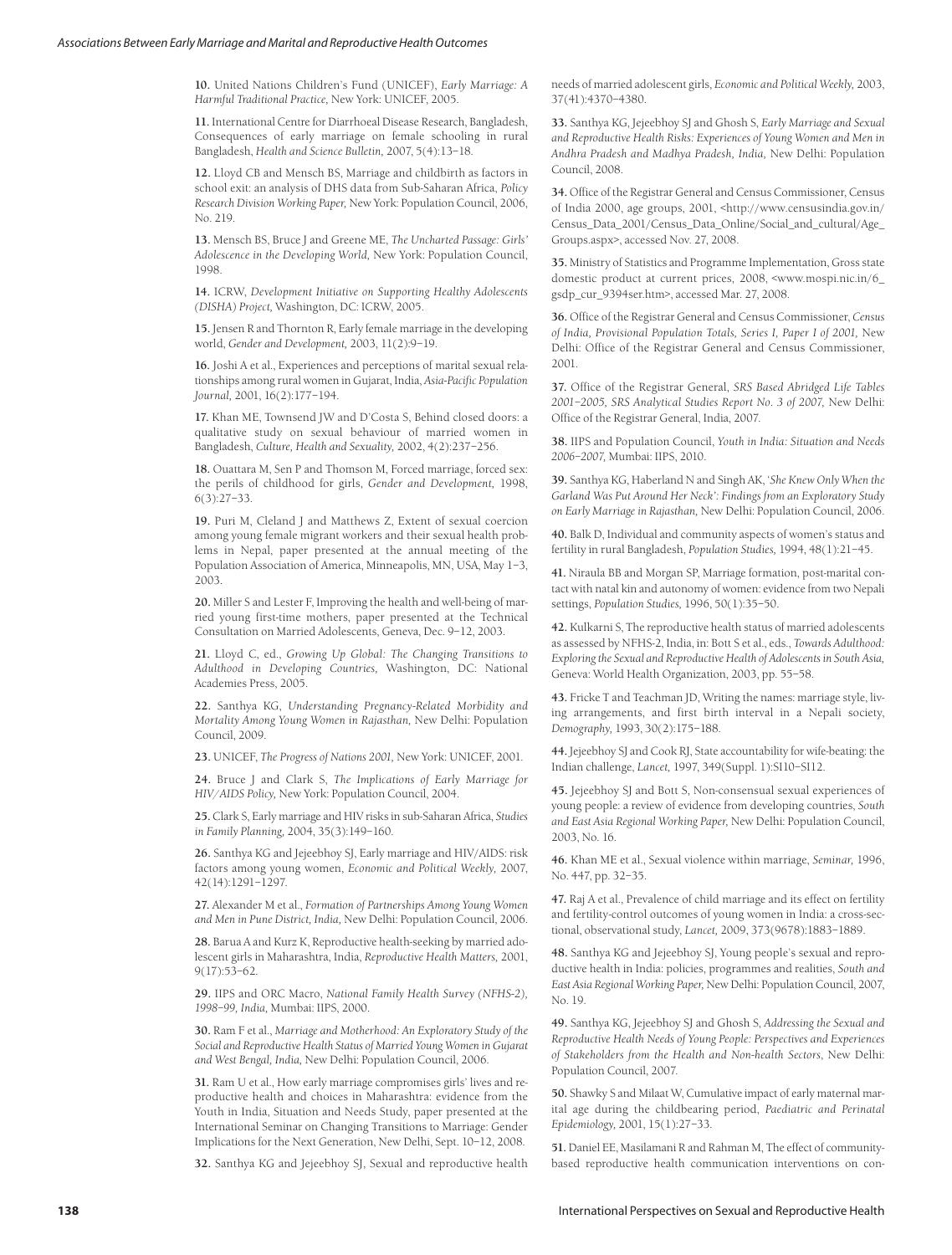**10.** United Nations Children's Fund (UNICEF), *Early Marriage: A Harmful Traditional Practice,* New York: UNICEF, 2005.

**11.** International Centre for Diarrhoeal Disease Research, Bangladesh, Consequences of early marriage on female schooling in rural Bangladesh, *Health and Science Bulletin,* 2007, 5(4):13–18.

**12.** Lloyd CB and Mensch BS, Marriage and childbirth as factors in school exit: an analysis of DHS data from Sub-Saharan Africa, *Policy Research Division Working Paper,* New York: Population Council, 2006, No. 219.

**13.** Mensch BS, Bruce J and Greene ME, *The Uncharted Passage: Girls' Adolescence in the Developing World,* New York: Population Council, 1998.

**14.** ICRW, *Development Initiative on Supporting Healthy Adolescents (DISHA) Project,* Washington, DC: ICRW, 2005.

**15.** Jensen R and Thornton R, Early female marriage in the developing world, *Gender and Development,* 2003, 11(2):9–19.

**16.** Joshi A et al., Experiences and perceptions of marital sexual relationships among rural women in Gujarat, India, *Asia-Pacific Population Journal,* 2001, 16(2):177–194.

**17.** Khan ME, Townsend JW and D'Costa S, Behind closed doors: a qualitative study on sexual behaviour of married women in Bangladesh, *Culture, Health and Sexuality,* 2002, 4(2):237–256.

**18.** Ouattara M, Sen P and Thomson M, Forced marriage, forced sex: the perils of childhood for girls, *Gender and Development,* 1998, 6(3):27–33.

**19.** Puri M, Cleland J and Matthews Z, Extent of sexual coercion among young female migrant workers and their sexual health problems in Nepal, paper presented at the annual meeting of the Population Association of America, Minneapolis, MN, USA, May 1–3, 2003.

**20.** Miller S and Lester F, Improving the health and well-being of married young first-time mothers, paper presented at the Technical Consultation on Married Adolescents, Geneva, Dec. 9–12, 2003.

**21.** Lloyd C, ed., *Growing Up Global: The Changing Transitions to Adulthood in Developing Countries,* Washington, DC: National Academies Press, 2005.

**22.** Santhya KG, *Understanding Pregnancy-Related Morbidity and Mortality Among Young Women in Rajasthan,* New Delhi: Population Council, 2009.

**23.** UNICEF, *The Progress of Nations 2001,* New York: UNICEF, 2001.

**24.** Bruce J and Clark S, *The Implications of Early Marriage for HIV/AIDS Policy,* New York: Population Council, 2004.

**25.** Clark S, Early marriage and HIV risks in sub-Saharan Africa, *Studies in Family Planning,* 2004, 35(3):149–160.

**26.** Santhya KG and Jejeebhoy SJ, Early marriage and HIV/AIDS: risk factors among young women, *Economic and Political Weekly,* 2007, 42(14):1291–1297.

**27.** Alexander M et al., *Formation of Partnerships Among Young Women and Men in Pune District, India,* New Delhi: Population Council, 2006.

**28.** Barua A and Kurz K, Reproductive health-seeking by married adolescent girls in Maharashtra, India, *Reproductive Health Matters,* 2001, 9(17):53–62.

**29.** IIPS and ORC Macro, *National Family Health Survey (NFHS-2), 1998–99, India,* Mumbai: IIPS, 2000.

**30.** Ram F et al., *Marriage and Motherhood: An Exploratory Study of the Social and Reproductive Health Status of Married Young Women in Gujarat and West Bengal, India,* New Delhi: Population Council, 2006.

**31.** Ram U et al., How early marriage compromises girls' lives and reproductive health and choices in Maharashtra: evidence from the Youth in India, Situation and Needs Study, paper presented at the International Seminar on Changing Transitions to Marriage: Gender Implications for the Next Generation, New Delhi, Sept. 10–12, 2008.

**32.** Santhya KG and Jejeebhoy SJ, Sexual and reproductive health

needs of married adolescent girls, *Economic and Political Weekly,* 2003, 37(41):4370–4380.

**33.** Santhya KG, Jejeebhoy SJ and Ghosh S, *Early Marriage and Sexual and Reproductive Health Risks: Experiences of Young Women and Men in Andhra Pradesh and Madhya Pradesh, India,* New Delhi: Population Council, 2008.

**34.** Office of the Registrar General and Census Commissioner, Census of India 2000, age groups, 2001, <http://www.censusindia.gov.in/ Census\_Data\_2001/Census\_Data\_Online/Social\_and\_cultural/Age\_ Groups.aspx>, accessed Nov. 27, 2008.

**35.** Ministry of Statistics and Programme Implementation, Gross state domestic product at current prices, 2008, <www.mospi.nic.in/6\_ gsdp\_cur\_9394ser.htm>, accessed Mar. 27, 2008.

**36.** Office of the Registrar General and Census Commissioner, *Census of India, Provisional Population Totals, Series I, Paper I of 2001,* New Delhi: Office of the Registrar General and Census Commissioner, 2001.

**37.** Office of the Registrar General, *SRS Based Abridged Life Tables 2001–2005, SRS Analytical Studies Report No. 3 of 2007,* New Delhi: Office of the Registrar General, India, 2007.

**38.** IIPS and Population Council, *Youth in India: Situation and Needs 2006–2007,* Mumbai: IIPS, 2010.

**39.** Santhya KG, Haberland N and Singh AK, '*She Knew Only When the Garland Was Put Around Her Neck': Findings from an Exploratory Study on Early Marriage in Rajasthan,* New Delhi: Population Council, 2006.

**40.** Balk D, Individual and community aspects of women's status and fertility in rural Bangladesh, *Population Studies,* 1994, 48(1):21–45.

**41.** Niraula BB and Morgan SP, Marriage formation, post-marital contact with natal kin and autonomy of women: evidence from two Nepali settings, *Population Studies,* 1996, 50(1):35–50.

**42.** Kulkarni S, The reproductive health status of married adolescents as assessed by NFHS-2, India, in: Bott S et al., eds., *Towards Adulthood: Exploring the Sexual and Reproductive Health of Adolescents in South Asia,* Geneva: World Health Organization, 2003, pp. 55–58.

**43.** Fricke T and Teachman JD, Writing the names: marriage style, living arrangements, and first birth interval in a Nepali society, *Demography,* 1993, 30(2):175–188.

**44.** Jejeebhoy SJ and Cook RJ, State accountability for wife-beating: the Indian challenge, *Lancet,* 1997, 349(Suppl. 1):SI10–SI12.

**45.** Jejeebhoy SJ and Bott S, Non-consensual sexual experiences of young people: a review of evidence from developing countries, *South and East Asia Regional Working Paper,* New Delhi: Population Council, 2003, No. 16.

**46.** Khan ME et al., Sexual violence within marriage, *Seminar,* 1996, No. 447, pp. 32–35.

**47.** Raj A et al., Prevalence of child marriage and its effect on fertility and fertility-control outcomes of young women in India: a cross-sectional, observational study, *Lancet,* 2009, 373(9678):1883–1889.

**48.** Santhya KG and Jejeebhoy SJ, Young people's sexual and reproductive health in India: policies, programmes and realities, *South and East Asia Regional Working Paper,* New Delhi: Population Council, 2007, No. 19.

**49.** Santhya KG, Jejeebhoy SJ and Ghosh S, *Addressing the Sexual and Reproductive Health Needs of Young People: Perspectives and Experiences of Stakeholders from the Health and Non-health Sectors*, New Delhi: Population Council, 2007.

**50.** Shawky S and Milaat W, Cumulative impact of early maternal marital age during the childbearing period, *Paediatric and Perinatal Epidemiology,* 2001, 15(1):27–33.

**51.** Daniel EE, Masilamani R and Rahman M, The effect of communitybased reproductive health communication interventions on con